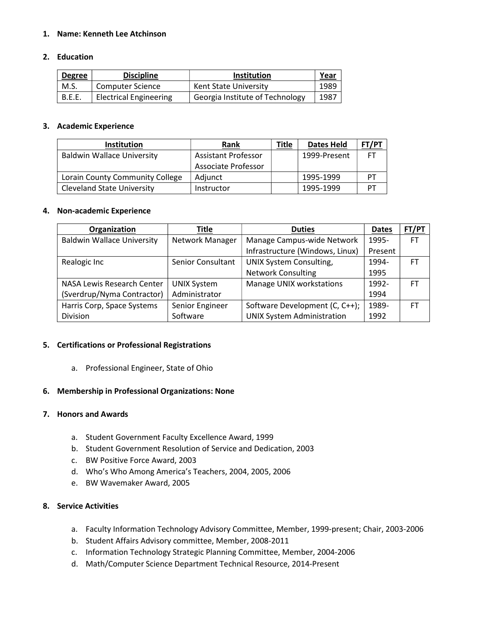# 1. Name: Kenneth Lee Atchinson

# 2. Education

| <b>Degree</b> | <b>Discipline</b>             | <b>Institution</b>              | <u>Year</u> |
|---------------|-------------------------------|---------------------------------|-------------|
| M.S.          | <b>Computer Science</b>       | Kent State University           | 1989        |
| <b>B.E.E.</b> | <b>Electrical Engineering</b> | Georgia Institute of Technology | 1987        |

# 3. Academic Experience

| <b>Institution</b>                | <b>Rank</b>                | <b>Title</b> | Dates Held   | FT/PT |
|-----------------------------------|----------------------------|--------------|--------------|-------|
| <b>Baldwin Wallace University</b> | <b>Assistant Professor</b> |              | 1999-Present |       |
|                                   | Associate Professor        |              |              |       |
| Lorain County Community College   | Adjunct                    |              | 1995-1999    | דס    |
| <b>Cleveland State University</b> | Instructor                 |              | 1995-1999    | דס    |

#### 4. Non-academic Experience

| Organization                      | Title                    | <b>Duties</b>                     | <b>Dates</b> | FT/PT     |
|-----------------------------------|--------------------------|-----------------------------------|--------------|-----------|
| <b>Baldwin Wallace University</b> | Network Manager          | Manage Campus-wide Network        | 1995-        | FT.       |
|                                   |                          | Infrastructure (Windows, Linux)   | Present      |           |
| Realogic Inc                      | <b>Senior Consultant</b> | UNIX System Consulting,           | 1994-        | FT.       |
|                                   |                          | <b>Network Consulting</b>         | 1995         |           |
| NASA Lewis Research Center        | <b>UNIX System</b>       | Manage UNIX workstations          | 1992-        | <b>FT</b> |
| (Sverdrup/Nyma Contractor)        | Administrator            |                                   | 1994         |           |
| Harris Corp, Space Systems        | Senior Engineer          | Software Development (C, C++);    | 1989-        | FT.       |
| Division                          | Software                 | <b>UNIX System Administration</b> | 1992         |           |

### 5. Certifications or Professional Registrations

a. Professional Engineer, State of Ohio

### 6. Membership in Professional Organizations: None

### 7. Honors and Awards

- a. Student Government Faculty Excellence Award, 1999
- b. Student Government Resolution of Service and Dedication, 2003
- c. BW Positive Force Award, 2003
- d. Who's Who Among America's Teachers, 2004, 2005, 2006
- e. BW Wavemaker Award, 2005

# 8. Service Activities

- a. Faculty Information Technology Advisory Committee, Member, 1999-present; Chair, 2003-2006
- b. Student Affairs Advisory committee, Member, 2008-2011
- c. Information Technology Strategic Planning Committee, Member, 2004-2006
- d. Math/Computer Science Department Technical Resource, 2014-Present